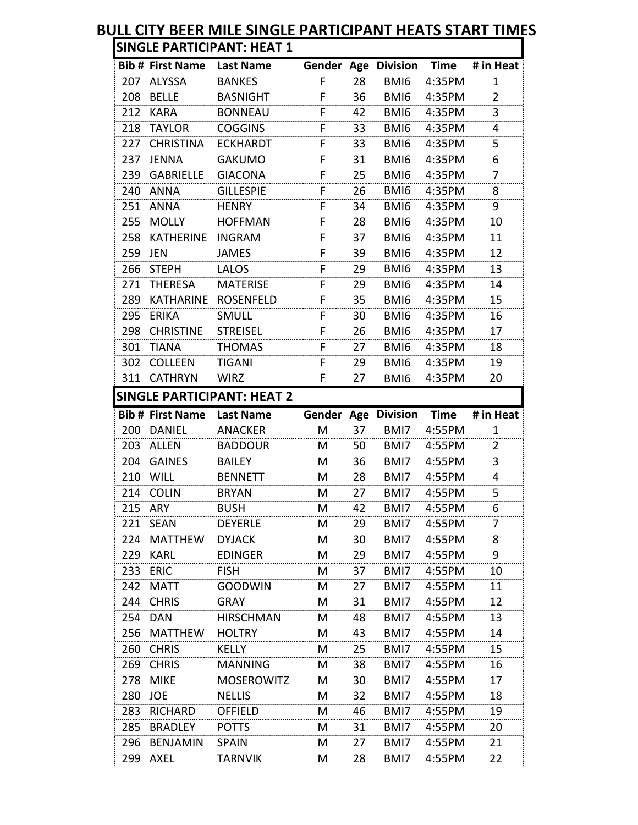## **BULL CITY BEER MILE SINGLE PARTICIPANT HEATS START TIMES Bib # First Name Last Name Gender Age Division Time # in Heat** 207 ALYSSA BANKES F 28 BMI6 4:35PM 1 208 BELLE BASNIGHT F 36 BMI6 4:35PM 2 212 KARA BONNEAU F 42 BMI6 4:35PM 3 218 TAYLOR COGGINS F 33 BMI6 4:35PM 4 227 CHRISTINA ECKHARDT F 33 BMI6 4:35PM 5 237 JENNA GAKUMO F 31 BMI6 4:35PM 6 239 GABRIELLE GIACONA F 25 BMI6 4:35PM 240 ANNA GILLESPIE F 26 BMI6 4:35PM 8 251 ANNA HENRY F 34 BMI6 4:35PM 9 255 MOLLY HOFFMAN F 28 BMI6 4:35PM 10 258 KATHERINE INGRAM F 37 BMI6 4:35PM 11 259 JEN JAMES F 39 BMI6 4:35PM 12 266 STEPH LALOS F 29 BMI6 4:35PM 13 271 THERESA MATERISE F 29 BMI6 4:35PM 14 289 KATHARINE ROSENFELD F 35 BMI6 4:35PM 15 295 ERIKA SMULL F 30 BMI6 4:35PM 16 298 CHRISTINE STREISEL F 26 BMI6 4:35PM 17 301 TIANA THOMAS F 27 BMI6 4:35PM 18 302 COLLEEN TIGANI F 29 BMI6 4:35PM 19 311 CATHRYN WIRZ F 27 BMI6 4:35PM 20 **Bib # First Name Last Name Gender Age Division Time # in Heat** 200 DANIEL ANACKER M 37 BMI7 4:55PM 1 203 ALLEN BADDOUR M 50 BMI7 4:55PM 2 204 GAINES BAILEY M 36 BMI7 4:55PM 3 210 WILL BENNETT M 28 BMI7 4:55PM 4 214 COLIN BRYAN M 27 BMI7 4:55PM 5 215 ARY BUSH M 42 BMI7 4:55PM 6 221 SEAN DEYERLE M 29 BMI7 4:55PM 7 224 MATTHEW DYJACK M 30 BMI7 4:55PM 8 229 KARL EDINGER M 29 BMI7 4:55PM 9 233 ERIC FISH M 37 BMI7 4:55PM 10 242 MATT GOODWIN M 27 BMI7 4:55PM 11 244 CHRIS GRAY M 31 BMI7 4:55PM 12 254 DAN HIRSCHMAN M 48 BMI7 4:55PM 13 256 MATTHEW HOLTRY M | 43 | BMI7 | 4:55PM | 14 260 CHRIS KELLY M 25 BMI7 4:55PM 15 269 CHRIS MANNING M 38 BMI7 4:55PM 16 278 MIKE MOSEROWITZ M 30 BMI7 4:55PM 17 280 JOE NELLIS M 32 BMI7 4:55PM 18 283 RICHARD OFFIELD M 46 BMI7 4:55PM 19 285 BRADLEY POTTS M 31 BMI7 4:55PM 20 **SINGLE PARTICIPANT: HEAT 1 SINGLE PARTICIPANT: HEAT 2**

296 BENJAMIN SPAIN M 27 BMI7 4:55PM 21 299 AXEL TARNVIK M 28 BMI7 4:55PM 22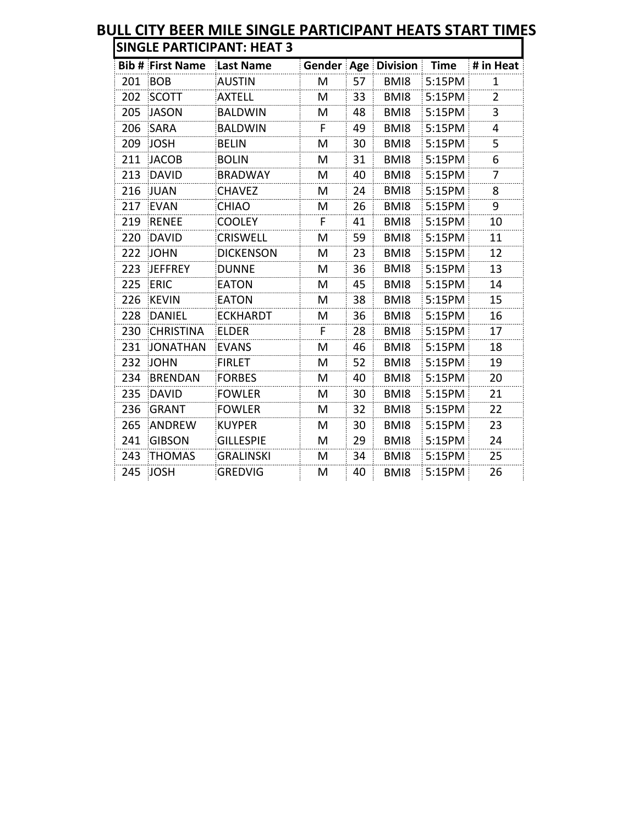|     | <b>Bib # First Name</b> | Last Name        | Gender | Age | <b>Division</b> | <b>Time</b> | # in Heat      |
|-----|-------------------------|------------------|--------|-----|-----------------|-------------|----------------|
| 201 | <b>BOB</b>              | <b>AUSTIN</b>    | M      | 57  | BMI8            | 5:15PM      | $\mathbf{1}$   |
| 202 | <b>SCOTT</b>            | <b>AXTELL</b>    | M      | 33  | BMI8            | 5:15PM      | $\overline{2}$ |
| 205 | <b>JASON</b>            | <b>BALDWIN</b>   | M      | 48  | BMI8            | 5:15PM      | 3              |
| 206 | <b>SARA</b>             | <b>BALDWIN</b>   | F.     | 49  | BMI8            | 5:15PM      | 4              |
| 209 | <b>JOSH</b>             | <b>BELIN</b>     | M      | 30  | BMI8            | 5:15PM      | 5              |
| 211 | <b>JACOB</b>            | <b>BOLIN</b>     | M      | 31  | BMI8            | 5:15PM      | 6              |
| 213 | <b>DAVID</b>            | <b>BRADWAY</b>   | M      | 40  | BMI8            | 5:15PM      | $\overline{7}$ |
| 216 | <b>JUAN</b>             | <b>CHAVEZ</b>    | M      | 24  | BMI8            | 5:15PM      | 8              |
| 217 | <b>EVAN</b>             | <b>CHIAO</b>     | M      | 26  | BMI8            | 5:15PM      | 9              |
| 219 | <b>RENEE</b>            | <b>COOLEY</b>    | F.     | 41  | BMI8            | 5:15PM      | 10             |
| 220 | <b>DAVID</b>            | <b>CRISWELL</b>  | M      | 59  | BMI8            | 5:15PM      | 11             |
| 222 | <b>JOHN</b>             | <b>DICKENSON</b> | M      | 23  | BMI8            | 5:15PM      | 12             |
| 223 | <b>JEFFREY</b>          | <b>DUNNE</b>     | M      | 36  | BMI8            | 5:15PM      | 13             |
| 225 | <b>ERIC</b>             | <b>EATON</b>     | M      | 45  | BMI8            | 5:15PM      | 14             |
| 226 | <b>KEVIN</b>            | <b>EATON</b>     | M      | 38  | BMI8            | 5:15PM      | 15             |
| 228 | <b>DANIEL</b>           | <b>ECKHARDT</b>  | M      | 36  | BMI8            | 5:15PM      | 16             |
| 230 | <b>CHRISTINA</b>        | <b>ELDER</b>     | F.     | 28  | BMI8            | 5:15PM      | 17             |
| 231 | <b>JONATHAN</b>         | <b>EVANS</b>     | M      | 46  | BMI8            | 5:15PM      | 18             |
| 232 | <b>JOHN</b>             | <b>FIRLET</b>    | M      | 52  | BMI8            | 5:15PM      | 19             |
| 234 | <b>BRENDAN</b>          | <b>FORBES</b>    | M      | 40  | BMI8            | 5:15PM      | 20             |
| 235 | <b>DAVID</b>            | <b>FOWLER</b>    | M      | 30  | BMI8            | 5:15PM      | 21             |
| 236 | <b>GRANT</b>            | <b>FOWLER</b>    | M      | 32  | BMI8            | 5:15PM      | 22             |
| 265 | <b>ANDREW</b>           | <b>KUYPER</b>    | M      | 30  | BMI8            | 5:15PM      | 23             |
| 241 | <b>GIBSON</b>           | <b>GILLESPIE</b> | M      | 29  | BMI8            | 5:15PM      | 24             |
| 243 | <b>THOMAS</b>           | <b>GRALINSKI</b> | M      | 34  | BMI8            | 5:15PM      | 25             |
| 245 | <b>JOSH</b>             | <b>GREDVIG</b>   | M      | 40  | BMI8            | 5:15PM      | 26             |

## **BULL CITY BEER MILE SINGLE PARTICIPANT HEATS START TIMES**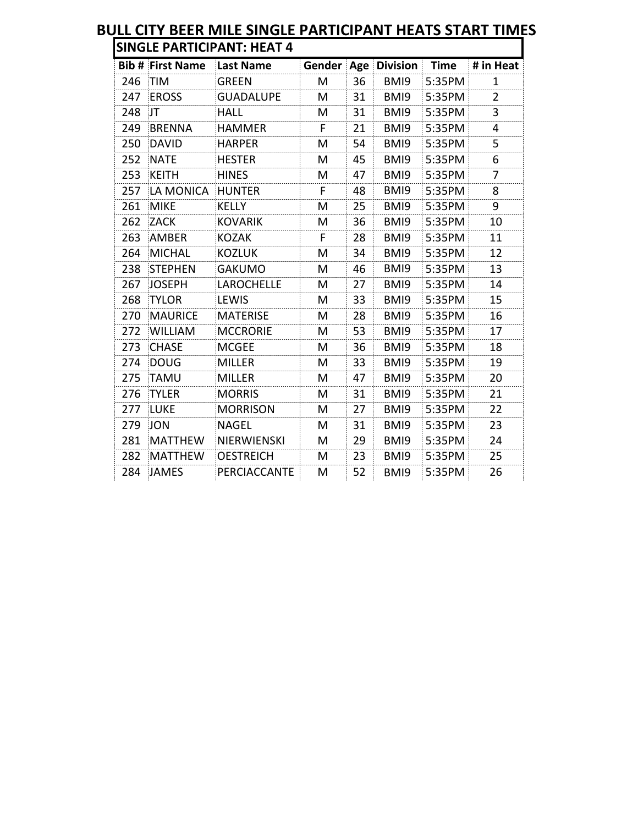|     | <b>Bib # First Name</b> | <b>Last Name</b>    | Gender | Age | <b>Division</b> | <b>Time</b> | # in Heat      |
|-----|-------------------------|---------------------|--------|-----|-----------------|-------------|----------------|
| 246 | <b>TIM</b>              | <b>GREEN</b>        | M      | 36  | BMI9            | 5:35PM      | 1              |
| 247 | <b>EROSS</b>            | <b>GUADALUPE</b>    | M      | 31  | BMI9            | 5:35PM      | $\overline{2}$ |
| 248 | JT                      | <b>HALL</b>         | M      | 31  | BMI9            | 5:35PM      | 3              |
| 249 | <b>BRENNA</b>           | <b>HAMMER</b>       | F      | 21  | BMI9            | 5:35PM      | 4              |
| 250 | <b>DAVID</b>            | <b>HARPER</b>       | M      | 54  | BMI9            | 5:35PM      | 5              |
| 252 | <b>NATE</b>             | <b>HESTER</b>       | M      | 45  | BMI9            | 5:35PM      | 6              |
| 253 | <b>KEITH</b>            | <b>HINES</b>        | M      | 47  | BMI9            | 5:35PM      | 7              |
| 257 | LA MONICA               | <b>HUNTER</b>       | F.     | 48  | BMI9            | 5:35PM      | 8              |
| 261 | <b>MIKE</b>             | <b>KELLY</b>        | M      | 25  | BMI9            | 5:35PM      | 9              |
| 262 | <b>ZACK</b>             | <b>KOVARIK</b>      | M      | 36  | BMI9            | 5:35PM      | 10             |
| 263 | <b>AMBER</b>            | <b>KOZAK</b>        | F.     | 28  | BMI9            | 5:35PM      | 11             |
| 264 | <b>MICHAL</b>           | <b>KOZLUK</b>       | M      | 34  | BMI9            | 5:35PM      | 12             |
| 238 | <b>STEPHEN</b>          | <b>GAKUMO</b>       | M      | 46  | BMI9            | 5:35PM      | 13             |
| 267 | <b>JOSEPH</b>           | <b>LAROCHELLE</b>   | M      | 27  | BMI9            | 5:35PM      | 14             |
| 268 | <b>TYLOR</b>            | LEWIS               | М      | 33  | BMI9            | 5:35PM      | 15             |
| 270 | <b>MAURICE</b>          | <b>MATERISE</b>     | М      | 28  | BMI9            | 5:35PM      | 16             |
| 272 | <b>WILLIAM</b>          | <b>MCCRORIE</b>     | M      | 53  | BMI9            | 5:35PM      | 17             |
| 273 | <b>CHASE</b>            | <b>MCGEE</b>        | M      | 36  | BMI9            | 5:35PM      | 18             |
| 274 | <b>DOUG</b>             | <b>MILLER</b>       | M      | 33  | BMI9            | 5:35PM      | 19             |
| 275 | <b>TAMU</b>             | <b>MILLER</b>       | М      | 47  | BMI9            | 5:35PM      | 20             |
| 276 | <b>TYLER</b>            | <b>MORRIS</b>       | M      | 31  | BMI9            | 5:35PM      | 21             |
| 277 | <b>LUKE</b>             | <b>MORRISON</b>     | M      | 27  | BMI9            | 5:35PM      | 22             |
| 279 | <b>JON</b>              | <b>NAGEL</b>        | M      | 31  | BMI9            | 5:35PM      | 23             |
| 281 | <b>MATTHEW</b>          | NIERWIENSKI         | M      | 29  | BMI9            | 5:35PM      | 24             |
| 282 | <b>MATTHEW</b>          | <b>OESTREICH</b>    | M      | 23  | BMI9            | 5:35PM      | 25             |
| 284 | <b>JAMES</b>            | <b>PERCIACCANTE</b> | M      | 52  | BMI9            | 5:35PM      | 26             |

## **BULL CITY BEER MILE SINGLE PARTICIPANT HEATS START TIMES**